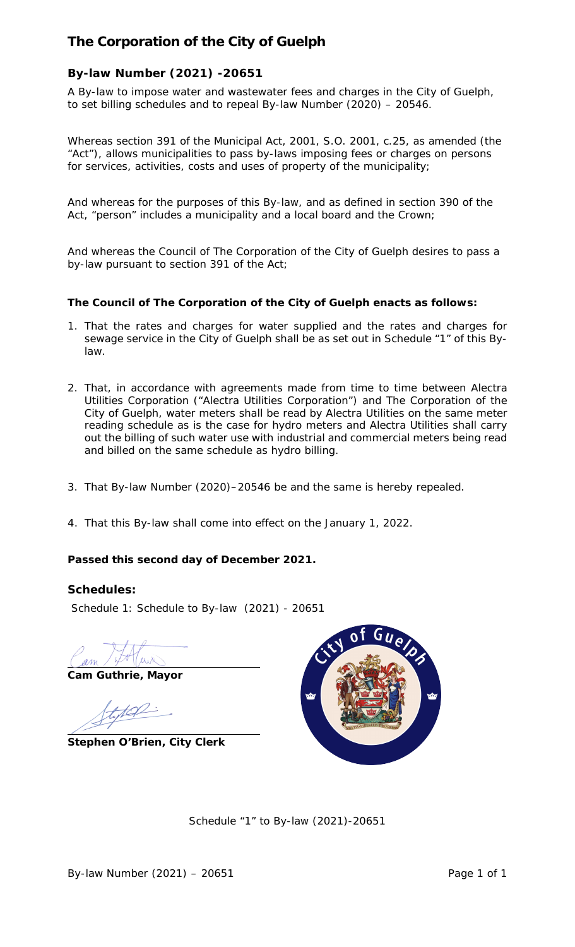# **The Corporation of the City of Guelph**

# **By-law Number (2021) -20651**

A By-law to impose water and wastewater fees and charges in the City of Guelph, to set billing schedules and to repeal By-law Number (2020) – 20546.

Whereas section 391 of the Municipal Act, 2001, S.O. 2001, c.25, as amended (the "Act"), allows municipalities to pass by-laws imposing fees or charges on persons for services, activities, costs and uses of property of the municipality;

And whereas for the purposes of this By-law, and as defined in section 390 of the Act, "person" includes a municipality and a local board and the Crown;

And whereas the Council of The Corporation of the City of Guelph desires to pass a by-law pursuant to section 391 of the Act;

## **The Council of The Corporation of the City of Guelph enacts as follows:**

- 1. That the rates and charges for water supplied and the rates and charges for sewage service in the City of Guelph shall be as set out in Schedule "1" of this Bylaw.
- 2. That, in accordance with agreements made from time to time between Alectra Utilities Corporation ("Alectra Utilities Corporation") and The Corporation of the City of Guelph, water meters shall be read by Alectra Utilities on the same meter reading schedule as is the case for hydro meters and Alectra Utilities shall carry out the billing of such water use with industrial and commercial meters being read and billed on the same schedule as hydro billing.
- 3. That By-law Number (2020)–20546 be and the same is hereby repealed.
- 4. That this By-law shall come into effect on the January 1, 2022.

## **Passed this second day of December 2021.**

### **Schedules:**

Schedule 1: Schedule to By-law (2021) - 20651

**Cam Guthrie, Mayor**

**Stephen O'Brien, City Clerk** 



Schedule "1" to By-law (2021)-20651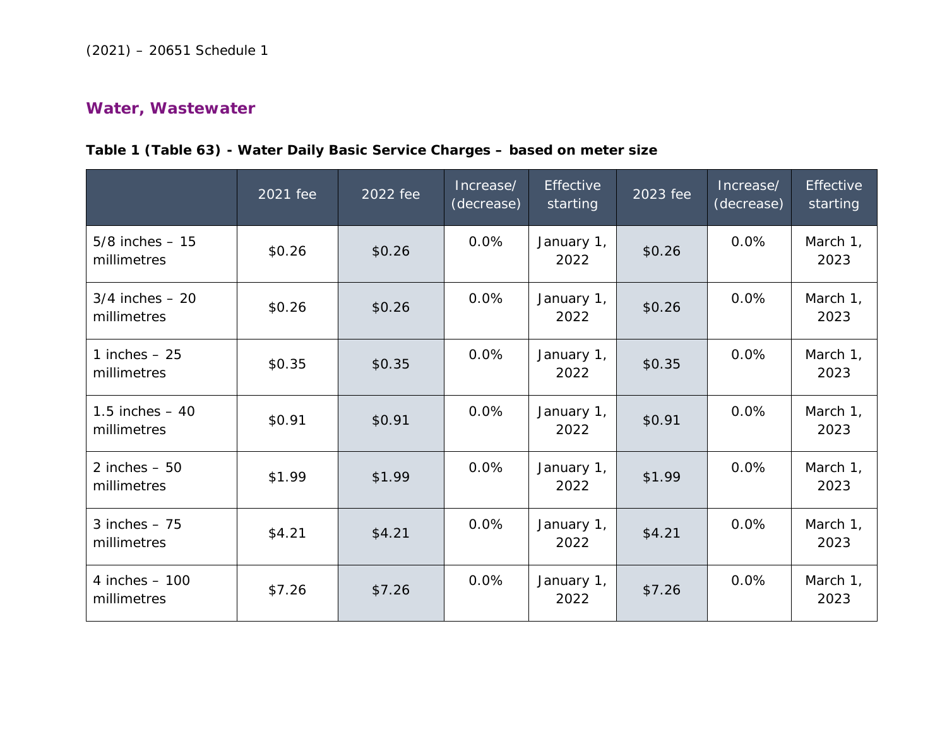# **Water, Wastewater**

# **Table 1 (Table 63) - Water Daily Basic Service Charges – based on meter size**

|                                   | 2021 fee | 2022 fee | Increase/<br>(decrease) | <b>Effective</b><br>starting | 2023 fee | Increase/<br>(decrease) | Effective<br>starting |
|-----------------------------------|----------|----------|-------------------------|------------------------------|----------|-------------------------|-----------------------|
| $5/8$ inches $-15$<br>millimetres | \$0.26   | \$0.26   | 0.0%                    | January 1,<br>2022           | \$0.26   | 0.0%                    | March 1,<br>2023      |
| $3/4$ inches $-20$<br>millimetres | \$0.26   | \$0.26   | 0.0%                    | January 1,<br>2022           | \$0.26   | 0.0%                    | March 1,<br>2023      |
| 1 inches $-25$<br>millimetres     | \$0.35   | \$0.35   | 0.0%                    | January 1,<br>2022           | \$0.35   | 0.0%                    | March 1,<br>2023      |
| 1.5 inches $-40$<br>millimetres   | \$0.91   | \$0.91   | 0.0%                    | January 1,<br>2022           | \$0.91   | 0.0%                    | March 1,<br>2023      |
| 2 inches $-50$<br>millimetres     | \$1.99   | \$1.99   | 0.0%                    | January 1,<br>2022           | \$1.99   | 0.0%                    | March 1,<br>2023      |
| 3 inches $-75$<br>millimetres     | \$4.21   | \$4.21   | 0.0%                    | January 1,<br>2022           | \$4.21   | 0.0%                    | March 1,<br>2023      |
| 4 inches $-100$<br>millimetres    | \$7.26   | \$7.26   | 0.0%                    | January 1,<br>2022           | \$7.26   | 0.0%                    | March 1,<br>2023      |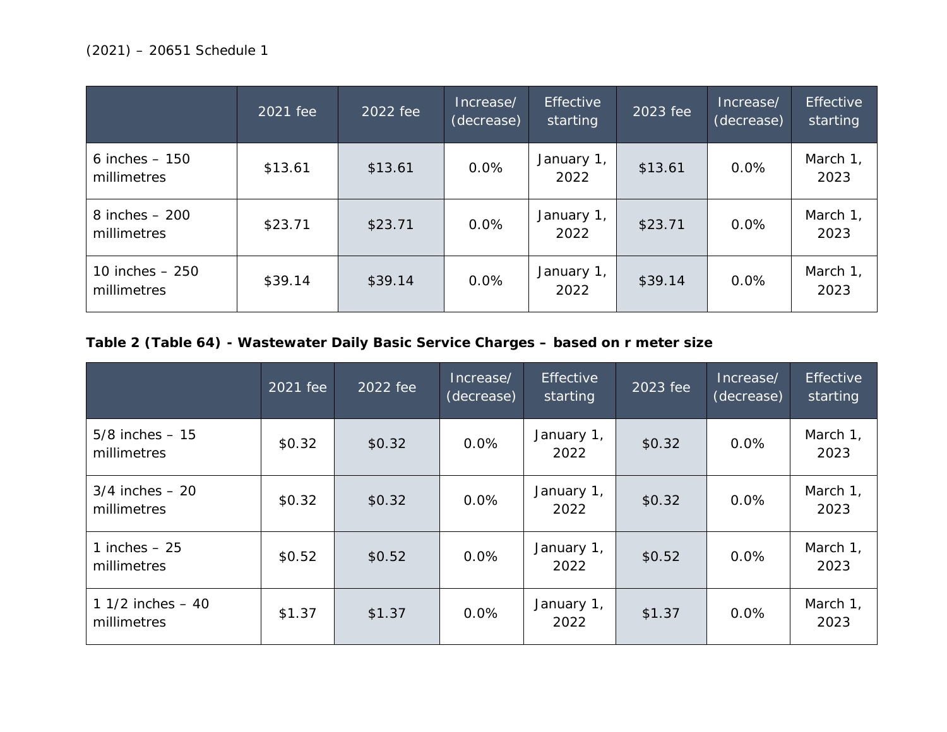|                                  | 2021 fee | 2022 fee | Increase/<br>(decrease) | <b>Effective</b><br>starting | 2023 fee | Increase/<br>(decrease) | <b>Effective</b><br>starting |
|----------------------------------|----------|----------|-------------------------|------------------------------|----------|-------------------------|------------------------------|
| $6$ inches $-150$<br>millimetres | \$13.61  | \$13.61  | 0.0%                    | January 1,<br>2022           | \$13.61  | 0.0%                    | March 1,<br>2023             |
| $8$ inches $-200$<br>millimetres | \$23.71  | \$23.71  | 0.0%                    | January 1,<br>2022           | \$23.71  | 0.0%                    | March 1,<br>2023             |
| 10 inches $-250$<br>millimetres  | \$39.14  | \$39.14  | 0.0%                    | January 1,<br>2022           | \$39.14  | 0.0%                    | March 1,<br>2023             |

# **Table 2 (Table 64) - Wastewater Daily Basic Service Charges – based on r meter size**

|                                     | 2021 fee | 2022 fee | Increase/<br>(decrease) | Effective<br>starting | 2023 fee | Increase/<br>(decrease) | <b>Effective</b><br>starting |
|-------------------------------------|----------|----------|-------------------------|-----------------------|----------|-------------------------|------------------------------|
| $5/8$ inches $-15$<br>millimetres   | \$0.32   | \$0.32   | 0.0%                    | January 1,<br>2022    | \$0.32   | 0.0%                    | March 1,<br>2023             |
| $3/4$ inches $-20$<br>millimetres   | \$0.32   | \$0.32   | 0.0%                    | January 1,<br>2022    | \$0.32   | 0.0%                    | March 1,<br>2023             |
| 1 inches $-25$<br>millimetres       | \$0.52   | \$0.52   | 0.0%                    | January 1,<br>2022    | \$0.52   | 0.0%                    | March 1,<br>2023             |
| 1 $1/2$ inches $-40$<br>millimetres | \$1.37   | \$1.37   | 0.0%                    | January 1,<br>2022    | \$1.37   | 0.0%                    | March 1,<br>2023             |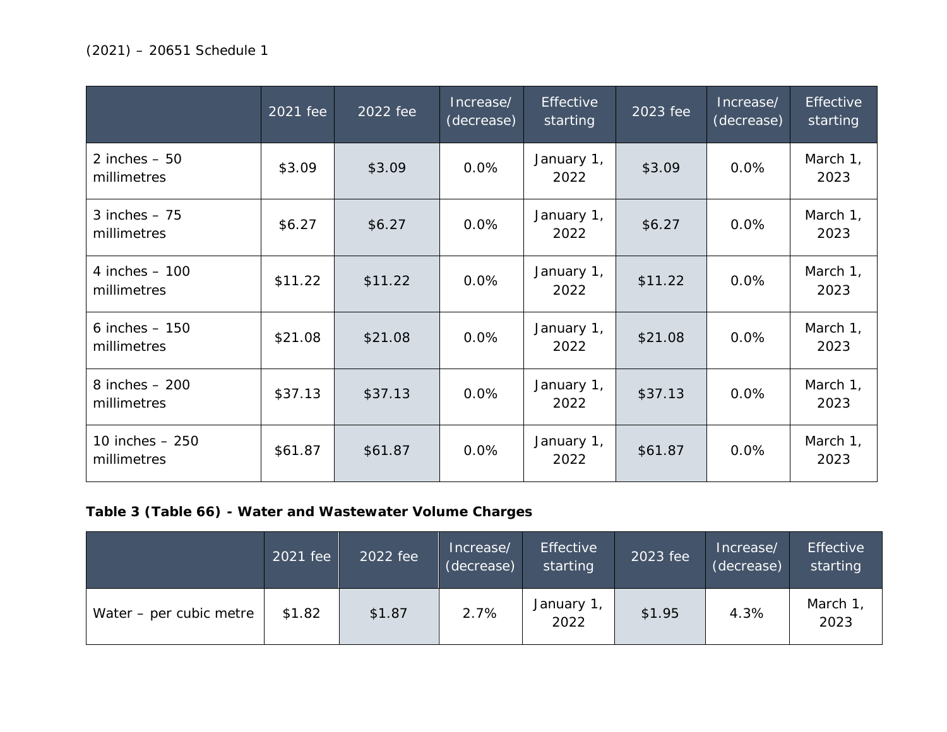|                                 | 2021 fee | 2022 fee | Increase/<br>(decrease) | Effective<br>starting | $\overline{2023}$ fee | Increase/<br>(decrease) | <b>Effective</b><br>starting |
|---------------------------------|----------|----------|-------------------------|-----------------------|-----------------------|-------------------------|------------------------------|
| 2 inches $-50$<br>millimetres   | \$3.09   | \$3.09   | 0.0%                    | January 1,<br>2022    | \$3.09                | 0.0%                    | March 1,<br>2023             |
| 3 inches $-75$<br>millimetres   | \$6.27   | \$6.27   | 0.0%                    | January 1,<br>2022    | \$6.27                | 0.0%                    | March 1,<br>2023             |
| 4 inches $-100$<br>millimetres  | \$11.22  | \$11.22  | 0.0%                    | January 1,<br>2022    | \$11.22               | 0.0%                    | March 1,<br>2023             |
| 6 inches $-150$<br>millimetres  | \$21.08  | \$21.08  | 0.0%                    | January 1,<br>2022    | \$21.08               | 0.0%                    | March 1,<br>2023             |
| 8 inches $-200$<br>millimetres  | \$37.13  | \$37.13  | 0.0%                    | January 1,<br>2022    | \$37.13               | 0.0%                    | March 1,<br>2023             |
| 10 inches $-250$<br>millimetres | \$61.87  | \$61.87  | 0.0%                    | January 1,<br>2022    | \$61.87               | 0.0%                    | March 1,<br>2023             |

# **Table 3 (Table 66) - Water and Wastewater Volume Charges**

|                         | 2021 fee | 2022 fee | Increase/<br>(decrease) | <b>Effective</b><br>starting | 2023 fee | Increase/<br>(decrease) | <b>Effective</b><br>starting |
|-------------------------|----------|----------|-------------------------|------------------------------|----------|-------------------------|------------------------------|
| Water – per cubic metre | \$1.82   | \$1.87   | 2.7%                    | January 1,<br>2022           | \$1.95   | 4.3%                    | March 1<br>2023              |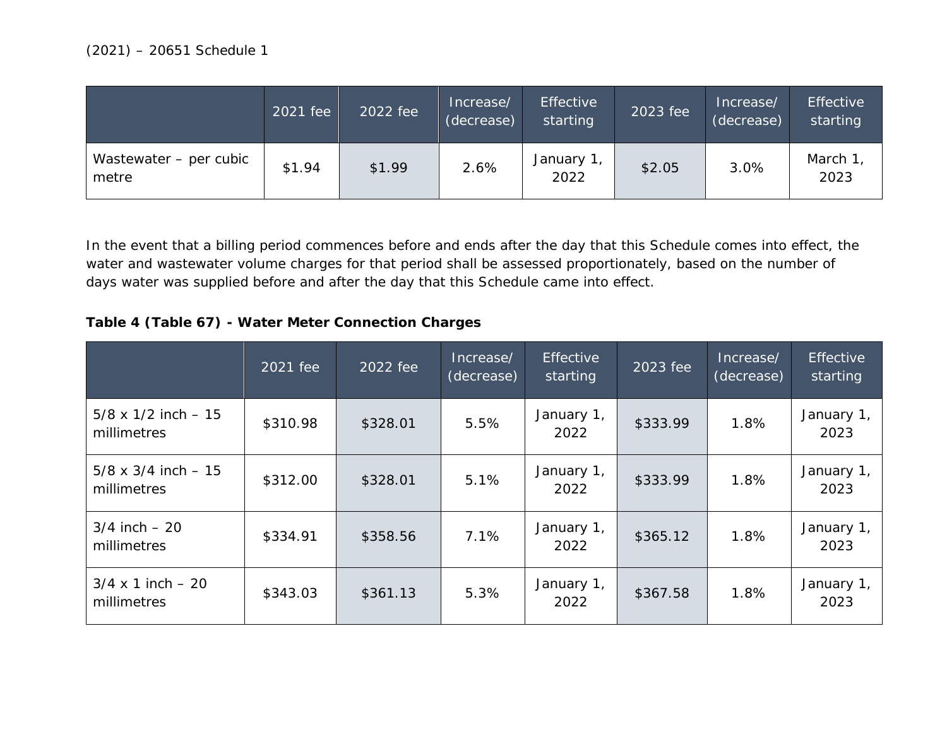|                                 | 2021 fee | 2022 fee | Increase/<br>(decrease) | <b>Effective</b><br>starting | 2023 fee | Increase/<br>(decrease) | <b>Effective</b><br>starting |
|---------------------------------|----------|----------|-------------------------|------------------------------|----------|-------------------------|------------------------------|
| Wastewater - per cubic<br>metre | \$1.94   | \$1.99   | 2.6%                    | January 1,<br>2022           | \$2.05   | 3.0%                    | March 1<br>2023              |

In the event that a billing period commences before and ends after the day that this Schedule comes into effect, the water and wastewater volume charges for that period shall be assessed proportionately, based on the number of days water was supplied before and after the day that this Schedule came into effect.

### **Table 4 (Table 67) - Water Meter Connection Charges**

|                                            | 2021 fee | 2022 fee | Increase/<br>(decrease) | <b>Effective</b><br>starting | 2023 fee | Increase/<br>(decrease) | <b>Effective</b><br>starting |
|--------------------------------------------|----------|----------|-------------------------|------------------------------|----------|-------------------------|------------------------------|
| $5/8 \times 1/2$ inch $-15$<br>millimetres | \$310.98 | \$328.01 | 5.5%                    | January 1,<br>2022           | \$333.99 | 1.8%                    | January 1,<br>2023           |
| $5/8 \times 3/4$ inch $-15$<br>millimetres | \$312.00 | \$328.01 | 5.1%                    | January 1,<br>2022           | \$333.99 | 1.8%                    | January 1,<br>2023           |
| $3/4$ inch $-20$<br>millimetres            | \$334.91 | \$358.56 | 7.1%                    | January 1,<br>2022           | \$365.12 | 1.8%                    | January 1,<br>2023           |
| $3/4 \times 1$ inch $-20$<br>millimetres   | \$343.03 | \$361.13 | 5.3%                    | January 1,<br>2022           | \$367.58 | 1.8%                    | January 1,<br>2023           |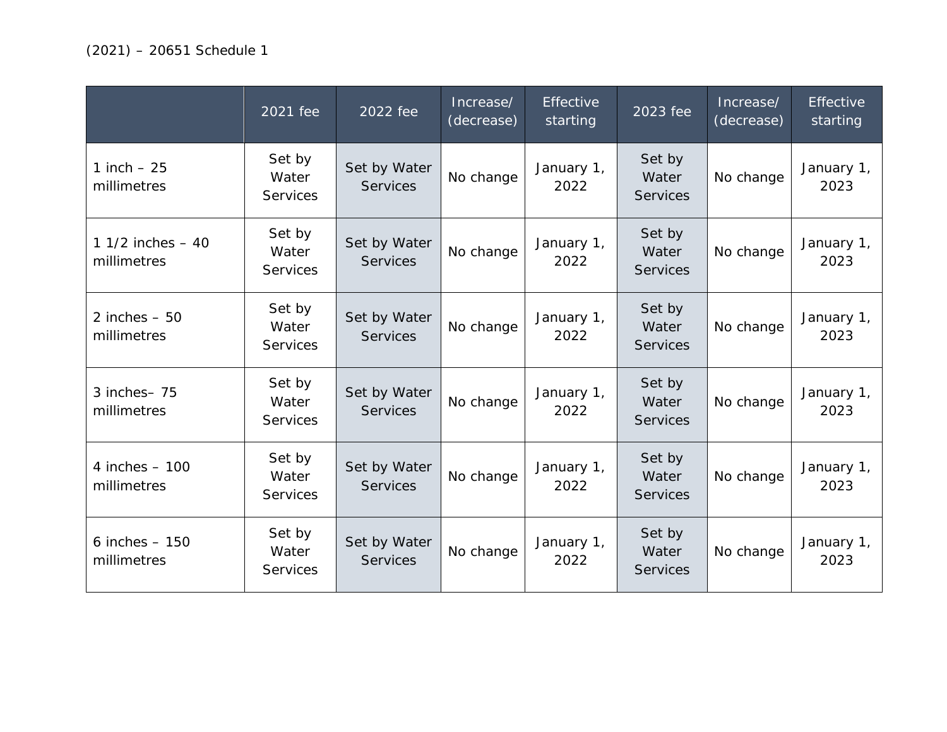|                                   | 2021 fee                           | 2022 fee                        | Increase/<br>(decrease) | <b>Effective</b><br>starting | 2023 fee                           | Increase/<br>(decrease) | <b>Effective</b><br>starting |
|-----------------------------------|------------------------------------|---------------------------------|-------------------------|------------------------------|------------------------------------|-------------------------|------------------------------|
| 1 inch $-25$<br>millimetres       | Set by<br>Water<br><b>Services</b> | Set by Water<br><b>Services</b> | No change               | January 1,<br>2022           | Set by<br>Water<br><b>Services</b> | No change               | January 1,<br>2023           |
| 1 1/2 inches $-40$<br>millimetres | Set by<br>Water<br><b>Services</b> | Set by Water<br><b>Services</b> | No change               | January 1,<br>2022           | Set by<br>Water<br><b>Services</b> | No change               | January 1,<br>2023           |
| 2 inches $-50$<br>millimetres     | Set by<br>Water<br><b>Services</b> | Set by Water<br><b>Services</b> | No change               | January 1,<br>2022           | Set by<br>Water<br><b>Services</b> | No change               | January 1,<br>2023           |
| 3 inches-75<br>millimetres        | Set by<br>Water<br><b>Services</b> | Set by Water<br><b>Services</b> | No change               | January 1,<br>2022           | Set by<br>Water<br><b>Services</b> | No change               | January 1,<br>2023           |
| 4 inches $-100$<br>millimetres    | Set by<br>Water<br>Services        | Set by Water<br><b>Services</b> | No change               | January 1,<br>2022           | Set by<br>Water<br><b>Services</b> | No change               | January 1,<br>2023           |
| $6$ inches $-150$<br>millimetres  | Set by<br>Water<br><b>Services</b> | Set by Water<br><b>Services</b> | No change               | January 1,<br>2022           | Set by<br>Water<br><b>Services</b> | No change               | January 1,<br>2023           |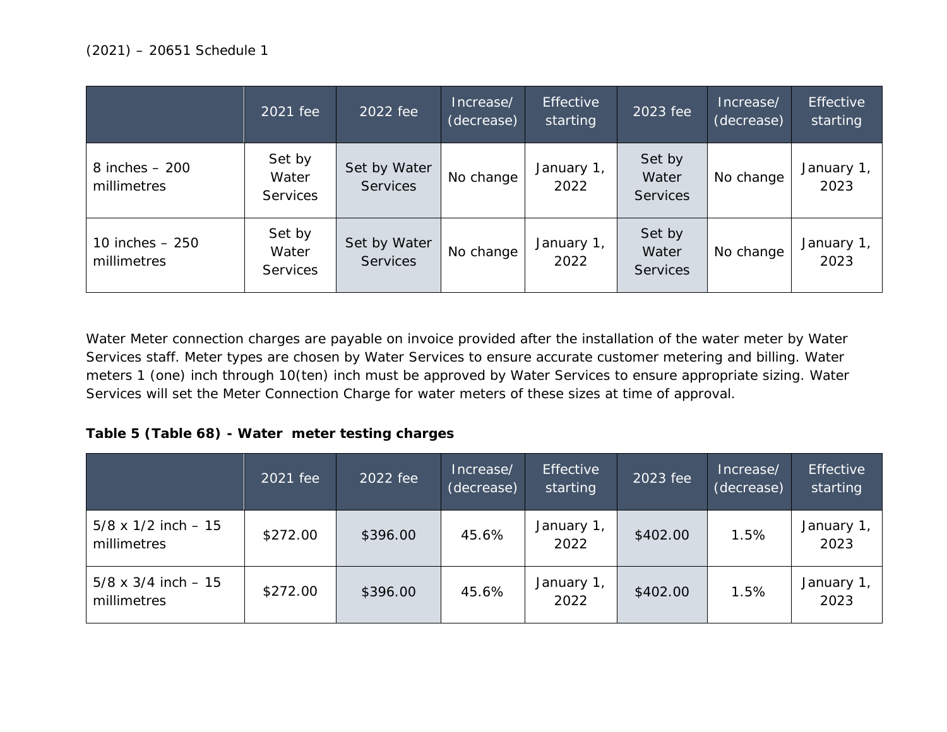|                                  | 2021 fee                           | 2022 fee                        | Increase/<br>(decrease) | <b>Effective</b><br>starting | 2023 fee                           | Increase/<br>(decrease) | <b>Effective</b><br>starting |
|----------------------------------|------------------------------------|---------------------------------|-------------------------|------------------------------|------------------------------------|-------------------------|------------------------------|
| $8$ inches $-200$<br>millimetres | Set by<br>Water<br><b>Services</b> | Set by Water<br><b>Services</b> | No change               | January 1,<br>2022           | Set by<br>Water<br><b>Services</b> | No change               | January 1,<br>2023           |
| 10 inches $-250$<br>millimetres  | Set by<br>Water<br><b>Services</b> | Set by Water<br><b>Services</b> | No change               | January 1,<br>2022           | Set by<br>Water<br><b>Services</b> | No change               | January 1<br>2023            |

Water Meter connection charges are payable on invoice provided after the installation of the water meter by Water Services staff. Meter types are chosen by Water Services to ensure accurate customer metering and billing. Water meters 1 (one) inch through 10(ten) inch must be approved by Water Services to ensure appropriate sizing. Water Services will set the Meter Connection Charge for water meters of these sizes at time of approval.

## **Table 5 (Table 68) - Water meter testing charges**

|                                            | 2021 fee | 2022 fee | Increase/<br>(decrease) | <b>Effective</b><br>starting | 2023 fee | Increase/<br>(decrease) | <b>Effective</b><br>starting |
|--------------------------------------------|----------|----------|-------------------------|------------------------------|----------|-------------------------|------------------------------|
| $5/8 \times 1/2$ inch $-15$<br>millimetres | \$272.00 | \$396.00 | 45.6%                   | January 1,<br>2022           | \$402.00 | 1.5%                    | January 1<br>2023            |
| $5/8 \times 3/4$ inch $-15$<br>millimetres | \$272.00 | \$396.00 | 45.6%                   | January 1,<br>2022           | \$402.00 | 1.5%                    | January 1<br>2023            |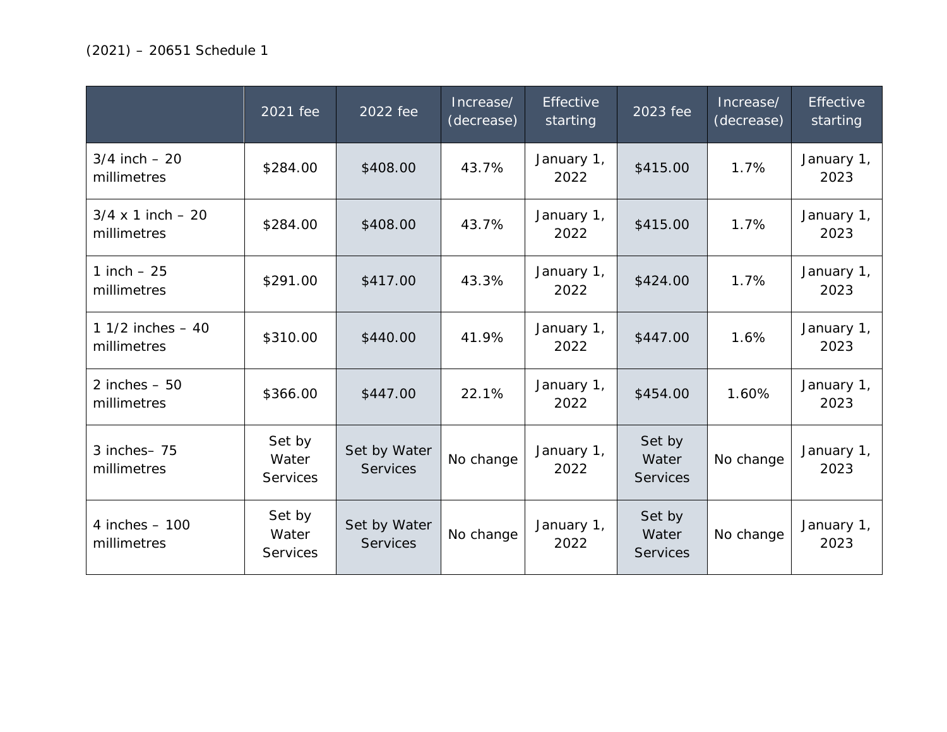|                                          | 2021 fee                           | 2022 fee                        | Increase/<br>(decrease) | <b>Effective</b><br>starting | 2023 fee                           | Increase/<br>(decrease) | Effective<br>starting |
|------------------------------------------|------------------------------------|---------------------------------|-------------------------|------------------------------|------------------------------------|-------------------------|-----------------------|
| $3/4$ inch $-20$<br>millimetres          | \$284.00                           | \$408.00                        | 43.7%                   | January 1,<br>2022           | \$415.00                           | 1.7%                    | January 1,<br>2023    |
| $3/4 \times 1$ inch $-20$<br>millimetres | \$284.00                           | \$408.00                        | 43.7%                   | January 1,<br>2022           | \$415.00                           | 1.7%                    | January 1,<br>2023    |
| 1 inch $-25$<br>millimetres              | \$291.00                           | \$417.00                        | 43.3%                   | January 1,<br>2022           | \$424.00                           | 1.7%                    | January 1,<br>2023    |
| 1 1/2 inches $-40$<br>millimetres        | \$310.00                           | \$440.00                        | 41.9%                   | January 1,<br>2022           | \$447.00                           | 1.6%                    | January 1,<br>2023    |
| 2 inches $-50$<br>millimetres            | \$366.00                           | \$447.00                        | 22.1%                   | January 1,<br>2022           | \$454.00                           | 1.60%                   | January 1,<br>2023    |
| 3 inches-75<br>millimetres               | Set by<br>Water<br><b>Services</b> | Set by Water<br><b>Services</b> | No change               | January 1,<br>2022           | Set by<br>Water<br><b>Services</b> | No change               | January 1,<br>2023    |
| 4 inches $-100$<br>millimetres           | Set by<br>Water<br><b>Services</b> | Set by Water<br><b>Services</b> | No change               | January 1,<br>2022           | Set by<br>Water<br><b>Services</b> | No change               | January 1,<br>2023    |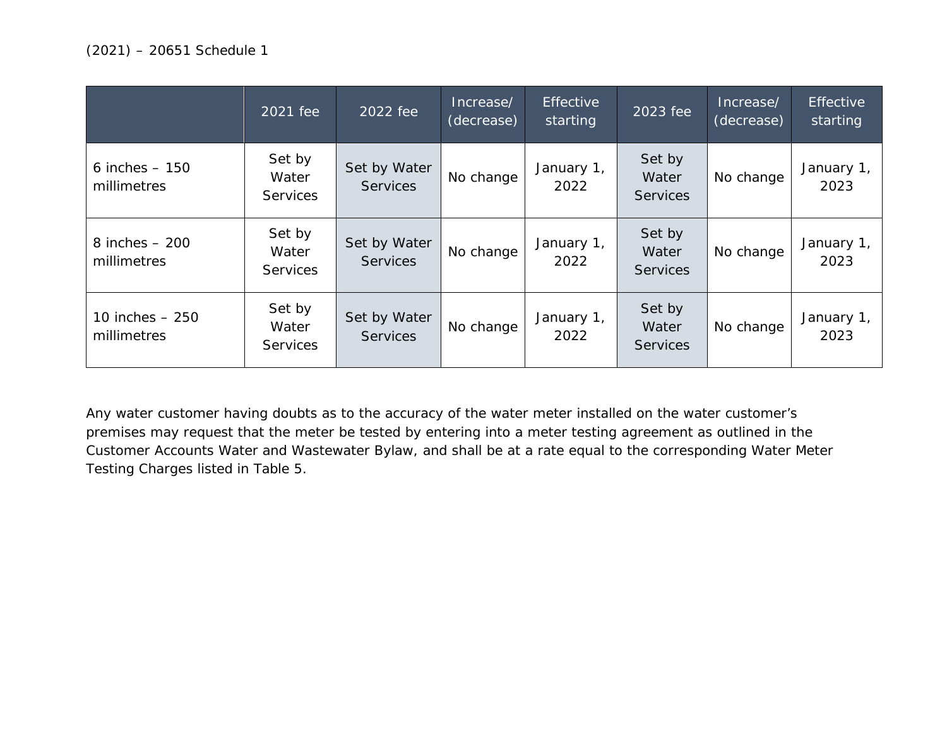|                                 | 2021 fee                           | 2022 fee                        | Increase/<br>(decrease) | Effective<br>starting | 2023 fee                           | Increase/<br>(decrease) | <b>Effective</b><br>starting |
|---------------------------------|------------------------------------|---------------------------------|-------------------------|-----------------------|------------------------------------|-------------------------|------------------------------|
| 6 inches $-150$<br>millimetres  | Set by<br>Water<br><b>Services</b> | Set by Water<br><b>Services</b> | No change               | January 1,<br>2022    | Set by<br>Water<br><b>Services</b> | No change               | January 1,<br>2023           |
| 8 inches $-200$<br>millimetres  | Set by<br>Water<br><b>Services</b> | Set by Water<br><b>Services</b> | No change               | January 1,<br>2022    | Set by<br>Water<br><b>Services</b> | No change               | January 1,<br>2023           |
| 10 inches $-250$<br>millimetres | Set by<br>Water<br><b>Services</b> | Set by Water<br><b>Services</b> | No change               | January 1,<br>2022    | Set by<br>Water<br><b>Services</b> | No change               | January 1,<br>2023           |

Any water customer having doubts as to the accuracy of the water meter installed on the water customer's premises may request that the meter be tested by entering into a meter testing agreement as outlined in the Customer Accounts Water and Wastewater Bylaw, and shall be at a rate equal to the corresponding Water Meter Testing Charges listed in Table 5.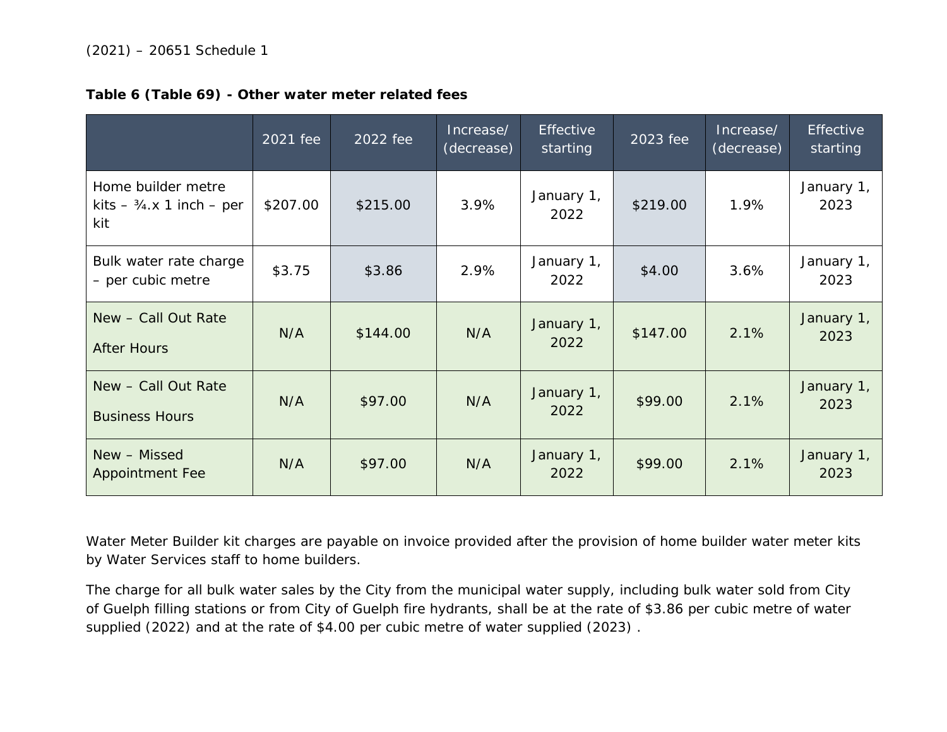|                                                              | 2021 fee | 2022 fee | Increase/<br>(decrease) | <b>Effective</b><br>starting | 2023 fee | Increase/<br>(decrease) | <b>Effective</b><br>starting |
|--------------------------------------------------------------|----------|----------|-------------------------|------------------------------|----------|-------------------------|------------------------------|
| Home builder metre<br>kits $-3/4 \times 1$ inch – per<br>kit | \$207.00 | \$215.00 | 3.9%                    | January 1,<br>2022           | \$219.00 | 1.9%                    | January 1,<br>2023           |
| Bulk water rate charge<br>- per cubic metre                  | \$3.75   | \$3.86   | 2.9%                    | January 1,<br>2022           | \$4.00   | 3.6%                    | January 1,<br>2023           |
| New - Call Out Rate<br><b>After Hours</b>                    | N/A      | \$144.00 | N/A                     | January 1,<br>2022           | \$147.00 | 2.1%                    | January 1,<br>2023           |
| New - Call Out Rate<br><b>Business Hours</b>                 | N/A      | \$97.00  | N/A                     | January 1,<br>2022           | \$99.00  | 2.1%                    | January 1,<br>2023           |
| New - Missed<br><b>Appointment Fee</b>                       | N/A      | \$97.00  | N/A                     | January 1,<br>2022           | \$99.00  | 2.1%                    | January 1,<br>2023           |

**Table 6 (Table 69) - Other water meter related fees**

Water Meter Builder kit charges are payable on invoice provided after the provision of home builder water meter kits by Water Services staff to home builders.

The charge for all bulk water sales by the City from the municipal water supply, including bulk water sold from City of Guelph filling stations or from City of Guelph fire hydrants, shall be at the rate of \$3.86 per cubic metre of water supplied (2022) and at the rate of \$4.00 per cubic metre of water supplied (2023) .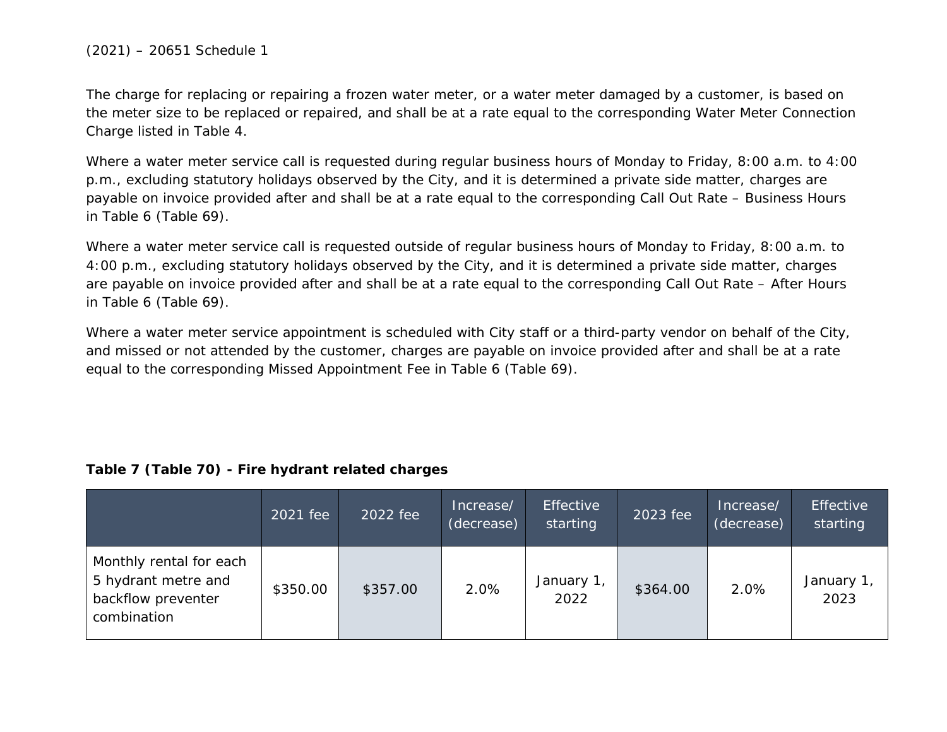#### (2021) – 20651 Schedule 1

The charge for replacing or repairing a frozen water meter, or a water meter damaged by a customer, is based on the meter size to be replaced or repaired, and shall be at a rate equal to the corresponding Water Meter Connection Charge listed in Table 4.

Where a water meter service call is requested during regular business hours of Monday to Friday, 8:00 a.m. to 4:00 p.m., excluding statutory holidays observed by the City, and it is determined a private side matter, charges are payable on invoice provided after and shall be at a rate equal to the corresponding Call Out Rate – Business Hours in Table 6 (Table 69).

Where a water meter service call is requested outside of regular business hours of Monday to Friday, 8:00 a.m. to 4:00 p.m., excluding statutory holidays observed by the City, and it is determined a private side matter, charges are payable on invoice provided after and shall be at a rate equal to the corresponding Call Out Rate – After Hours in Table 6 (Table 69).

Where a water meter service appointment is scheduled with City staff or a third-party vendor on behalf of the City, and missed or not attended by the customer, charges are payable on invoice provided after and shall be at a rate equal to the corresponding Missed Appointment Fee in Table 6 (Table 69).

#### **Table 7 (Table 70) - Fire hydrant related charges**

|                                                                                     | 2021 fee | 2022 fee | Increase/<br>(decrease) | Effective<br>starting | 2023 fee | Increase/<br>(decrease) | Effective<br>starting |
|-------------------------------------------------------------------------------------|----------|----------|-------------------------|-----------------------|----------|-------------------------|-----------------------|
| Monthly rental for each<br>5 hydrant metre and<br>backflow preventer<br>combination | \$350.00 | \$357.00 | 2.0%                    | January 1,<br>2022    | \$364.00 | 2.0%                    | January 1<br>2023     |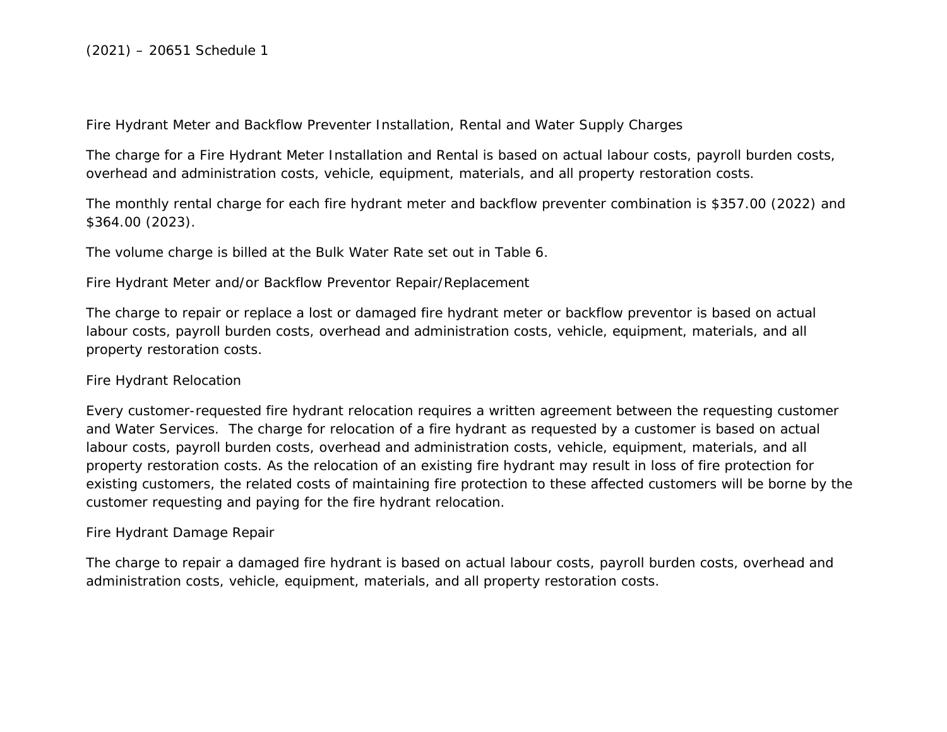Fire Hydrant Meter and Backflow Preventer Installation, Rental and Water Supply Charges

The charge for a Fire Hydrant Meter Installation and Rental is based on actual labour costs, payroll burden costs, overhead and administration costs, vehicle, equipment, materials, and all property restoration costs.

The monthly rental charge for each fire hydrant meter and backflow preventer combination is \$357.00 (2022) and \$364.00 (2023).

The volume charge is billed at the Bulk Water Rate set out in Table 6.

Fire Hydrant Meter and/or Backflow Preventor Repair/Replacement

The charge to repair or replace a lost or damaged fire hydrant meter or backflow preventor is based on actual labour costs, payroll burden costs, overhead and administration costs, vehicle, equipment, materials, and all property restoration costs.

#### Fire Hydrant Relocation

Every customer-requested fire hydrant relocation requires a written agreement between the requesting customer and Water Services. The charge for relocation of a fire hydrant as requested by a customer is based on actual labour costs, payroll burden costs, overhead and administration costs, vehicle, equipment, materials, and all property restoration costs. As the relocation of an existing fire hydrant may result in loss of fire protection for existing customers, the related costs of maintaining fire protection to these affected customers will be borne by the customer requesting and paying for the fire hydrant relocation.

#### Fire Hydrant Damage Repair

The charge to repair a damaged fire hydrant is based on actual labour costs, payroll burden costs, overhead and administration costs, vehicle, equipment, materials, and all property restoration costs.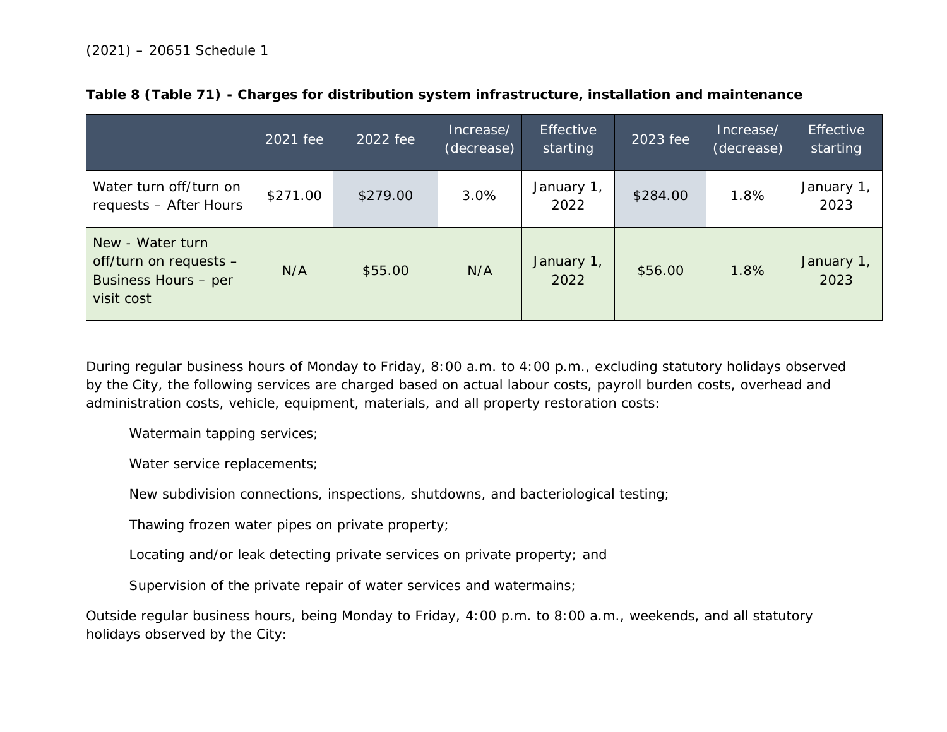|                                                                                  | 2021 fee | 2022 fee | Increase/<br>(decrease) | <b>Effective</b><br>starting | 2023 fee | Increase/<br>(decrease) | <b>Effective</b><br>starting |
|----------------------------------------------------------------------------------|----------|----------|-------------------------|------------------------------|----------|-------------------------|------------------------------|
| Water turn off/turn on<br>requests - After Hours                                 | \$271.00 | \$279.00 | 3.0%                    | January 1,<br>2022           | \$284.00 | 1.8%                    | January 1<br>2023            |
| New - Water turn<br>off/turn on requests -<br>Business Hours - per<br>visit cost | N/A      | \$55.00  | N/A                     | January 1,<br>2022           | \$56.00  | 1.8%                    | January 1,<br>2023           |

|  |  |  | Table 8 (Table 71) - Charges for distribution system infrastructure, installation and maintenance |  |
|--|--|--|---------------------------------------------------------------------------------------------------|--|
|  |  |  |                                                                                                   |  |

During regular business hours of Monday to Friday, 8:00 a.m. to 4:00 p.m., excluding statutory holidays observed by the City, the following services are charged based on actual labour costs, payroll burden costs, overhead and administration costs, vehicle, equipment, materials, and all property restoration costs:

Watermain tapping services;

Water service replacements;

New subdivision connections, inspections, shutdowns, and bacteriological testing;

Thawing frozen water pipes on private property;

Locating and/or leak detecting private services on private property; and

Supervision of the private repair of water services and watermains;

Outside regular business hours, being Monday to Friday, 4:00 p.m. to 8:00 a.m., weekends, and all statutory holidays observed by the City: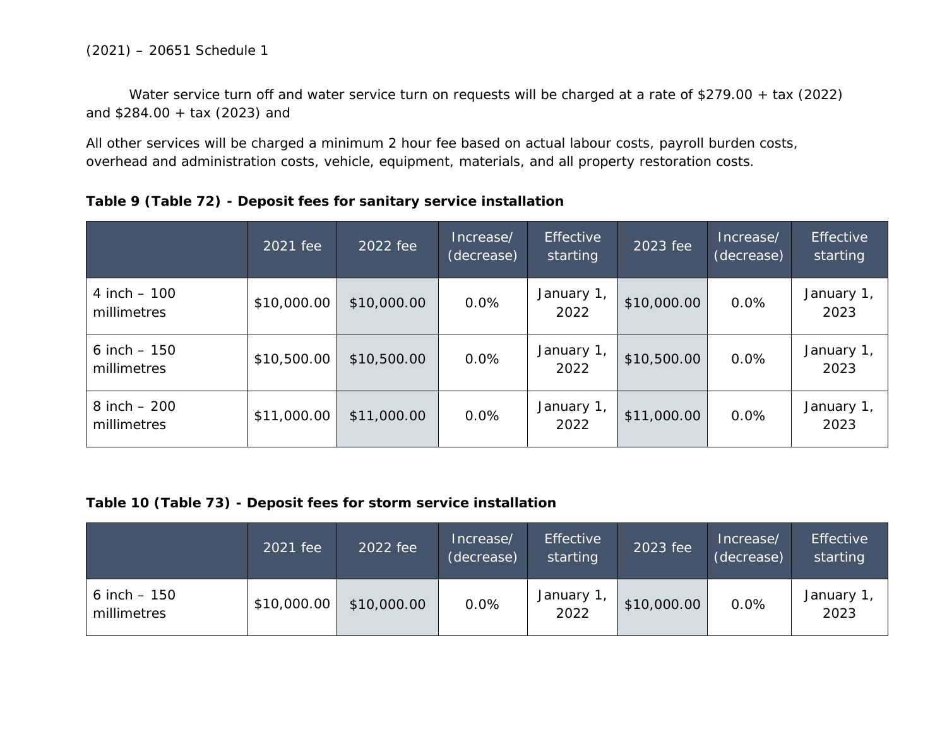Water service turn off and water service turn on requests will be charged at a rate of \$279.00 + tax (2022) and \$284.00 + tax (2023) and

All other services will be charged a minimum 2 hour fee based on actual labour costs, payroll burden costs, overhead and administration costs, vehicle, equipment, materials, and all property restoration costs.

|                                | 2021 fee    | 2022 fee    | Increase/<br>(decrease) | <b>Effective</b><br>starting | 2023 fee    | Increase/<br>(decrease) | <b>Effective</b><br>starting |
|--------------------------------|-------------|-------------|-------------------------|------------------------------|-------------|-------------------------|------------------------------|
| 4 inch $-100$<br>millimetres   | \$10,000.00 | \$10,000.00 | 0.0%                    | January 1,<br>2022           | \$10,000.00 | 0.0%                    | January 1,<br>2023           |
| 6 inch $-150$<br>millimetres   | \$10,500.00 | \$10,500.00 | 0.0%                    | January 1,<br>2022           | \$10,500.00 | 0.0%                    | January 1,<br>2023           |
| $8$ inch $-200$<br>millimetres | \$11,000.00 | \$11,000.00 | 0.0%                    | January 1,<br>2022           | \$11,000.00 | 0.0%                    | January 1,<br>2023           |

### **Table 9 (Table 72) - Deposit fees for sanitary service installation**

### **Table 10 (Table 73) - Deposit fees for storm service installation**

|                              | 2021 fee    | 2022 fee    | Increase/<br>(decrease) | <b>Effective</b><br>starting | 2023 fee    | Increase/<br>(decrease) | <b>Effective</b><br>starting |
|------------------------------|-------------|-------------|-------------------------|------------------------------|-------------|-------------------------|------------------------------|
| 6 inch $-150$<br>millimetres | \$10,000.00 | \$10,000.00 | 0.0%                    | January 1<br>2022            | \$10,000.00 | 0.0%                    | January 1<br>2023            |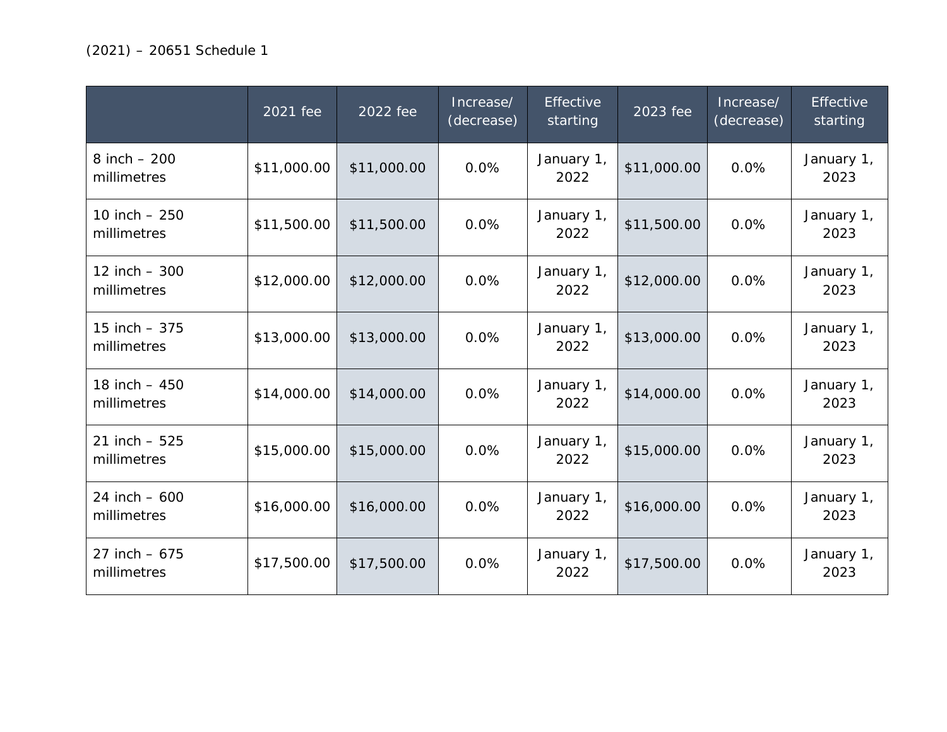|                               | 2021 fee    | 2022 fee    | Increase/<br>(decrease) | Effective<br>starting | 2023 fee    | Increase/<br>(decrease) | Effective<br>starting |
|-------------------------------|-------------|-------------|-------------------------|-----------------------|-------------|-------------------------|-----------------------|
| 8 inch $-200$<br>millimetres  | \$11,000.00 | \$11,000.00 | 0.0%                    | January 1,<br>2022    | \$11,000.00 | 0.0%                    | January 1,<br>2023    |
| 10 inch $-250$<br>millimetres | \$11,500.00 | \$11,500.00 | 0.0%                    | January 1,<br>2022    | \$11,500.00 | 0.0%                    | January 1,<br>2023    |
| 12 inch $-300$<br>millimetres | \$12,000.00 | \$12,000.00 | 0.0%                    | January 1,<br>2022    | \$12,000.00 | 0.0%                    | January 1,<br>2023    |
| 15 inch $-375$<br>millimetres | \$13,000.00 | \$13,000.00 | 0.0%                    | January 1,<br>2022    | \$13,000.00 | 0.0%                    | January 1,<br>2023    |
| 18 inch $-450$<br>millimetres | \$14,000.00 | \$14,000.00 | 0.0%                    | January 1,<br>2022    | \$14,000.00 | 0.0%                    | January 1,<br>2023    |
| 21 inch $-525$<br>millimetres | \$15,000.00 | \$15,000.00 | 0.0%                    | January 1,<br>2022    | \$15,000.00 | 0.0%                    | January 1,<br>2023    |
| 24 inch $-600$<br>millimetres | \$16,000.00 | \$16,000.00 | 0.0%                    | January 1,<br>2022    | \$16,000.00 | 0.0%                    | January 1,<br>2023    |
| 27 inch $-675$<br>millimetres | \$17,500.00 | \$17,500.00 | 0.0%                    | January 1,<br>2022    | \$17,500.00 | 0.0%                    | January 1,<br>2023    |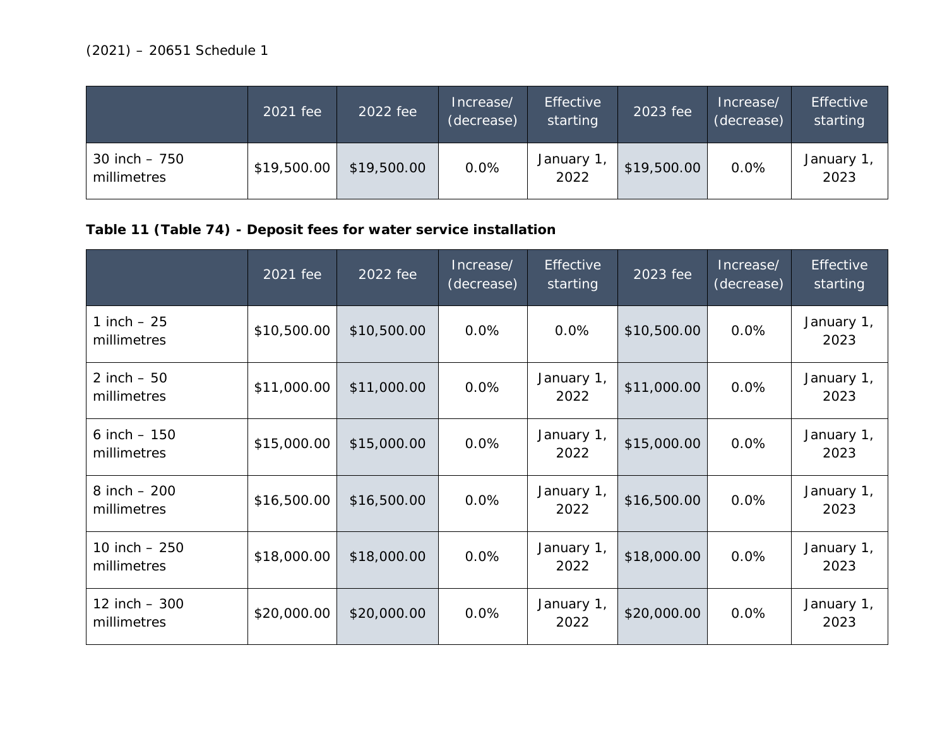|                               | 2021 fee    | 2022 fee    | Increase/<br>(decrease) | <b>Effective</b><br>starting | 2023 fee    | Increase/<br>(decrease) | <b>Effective</b><br>starting |
|-------------------------------|-------------|-------------|-------------------------|------------------------------|-------------|-------------------------|------------------------------|
| 30 inch $-750$<br>millimetres | \$19,500.00 | \$19,500.00 | 0.0%                    | January 1<br>2022            | \$19,500.00 | 0.0%                    | January 1<br>2023            |

# **Table 11 (Table 74) - Deposit fees for water service installation**

|                                | 2021 fee    | 2022 fee    | Increase/<br>(decrease) | <b>Effective</b><br>starting | 2023 fee    | Increase/<br>(decrease) | <b>Effective</b><br>starting |
|--------------------------------|-------------|-------------|-------------------------|------------------------------|-------------|-------------------------|------------------------------|
| 1 inch $-25$<br>millimetres    | \$10,500.00 | \$10,500.00 | $0.0\%$                 | 0.0%                         | \$10,500.00 | 0.0%                    | January 1,<br>2023           |
| 2 inch $-50$<br>millimetres    | \$11,000.00 | \$11,000.00 | 0.0%                    | January 1,<br>2022           | \$11,000.00 | 0.0%                    | January 1,<br>2023           |
| 6 inch $-150$<br>millimetres   | \$15,000.00 | \$15,000.00 | 0.0%                    | January 1,<br>2022           | \$15,000.00 | 0.0%                    | January 1,<br>2023           |
| $8$ inch $-200$<br>millimetres | \$16,500.00 | \$16,500.00 | 0.0%                    | January 1,<br>2022           | \$16,500.00 | 0.0%                    | January 1,<br>2023           |
| 10 inch $-250$<br>millimetres  | \$18,000.00 | \$18,000.00 | 0.0%                    | January 1,<br>2022           | \$18,000.00 | 0.0%                    | January 1,<br>2023           |
| 12 inch $-300$<br>millimetres  | \$20,000.00 | \$20,000.00 | 0.0%                    | January 1,<br>2022           | \$20,000.00 | 0.0%                    | January 1,<br>2023           |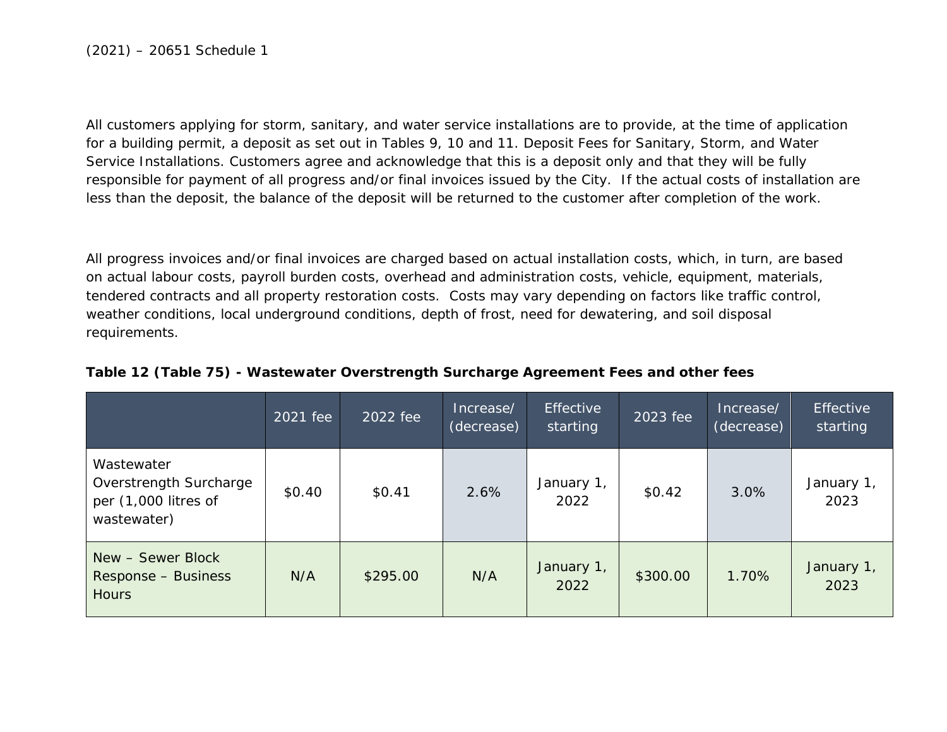All customers applying for storm, sanitary, and water service installations are to provide, at the time of application for a building permit, a deposit as set out in Tables 9, 10 and 11. Deposit Fees for Sanitary, Storm, and Water Service Installations. Customers agree and acknowledge that this is a deposit only and that they will be fully responsible for payment of all progress and/or final invoices issued by the City. If the actual costs of installation are less than the deposit, the balance of the deposit will be returned to the customer after completion of the work.

All progress invoices and/or final invoices are charged based on actual installation costs, which, in turn, are based on actual labour costs, payroll burden costs, overhead and administration costs, vehicle, equipment, materials, tendered contracts and all property restoration costs. Costs may vary depending on factors like traffic control, weather conditions, local underground conditions, depth of frost, need for dewatering, and soil disposal requirements.

|                                                                             | 2021 fee | 2022 fee | Increase/<br>(decrease) | Effective<br>starting | 2023 fee | Increase/<br>(decrease) | <b>Effective</b><br>starting |
|-----------------------------------------------------------------------------|----------|----------|-------------------------|-----------------------|----------|-------------------------|------------------------------|
| Wastewater<br>Overstrength Surcharge<br>per (1,000 litres of<br>wastewater) | \$0.40   | \$0.41   | 2.6%                    | January 1,<br>2022    | \$0.42   | 3.0%                    | January 1,<br>2023           |
| New - Sewer Block<br>Response - Business<br><b>Hours</b>                    | N/A      | \$295.00 | N/A                     | January 1,<br>2022    | \$300.00 | 1.70%                   | January 1,<br>2023           |

#### **Table 12 (Table 75) - Wastewater Overstrength Surcharge Agreement Fees and other fees**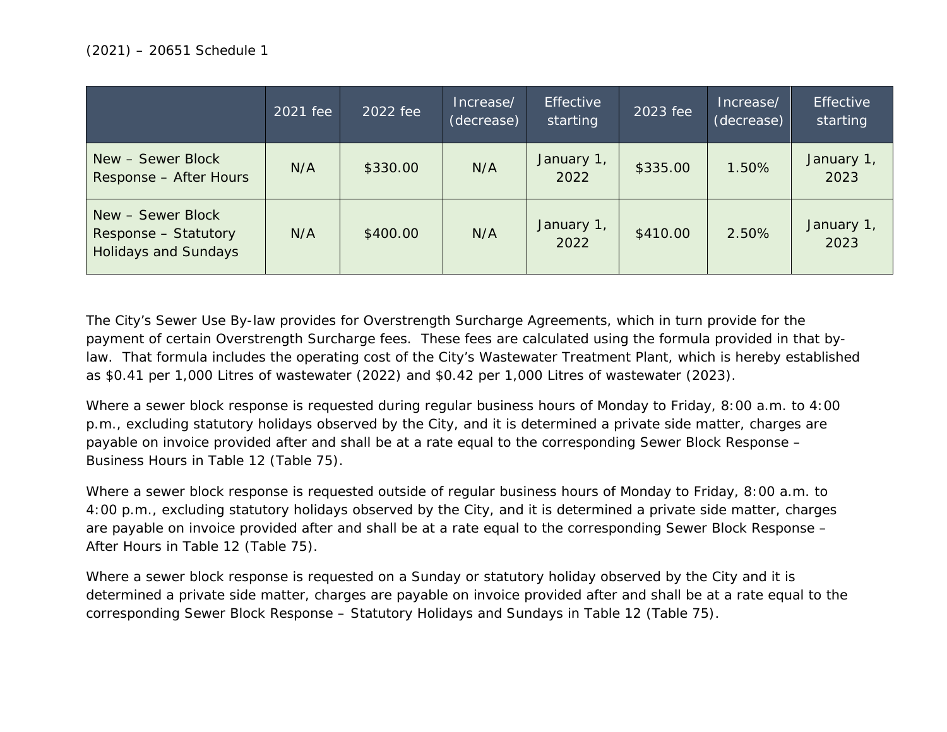|                                                                          | 2021 fee | 2022 fee | Increase/<br>(decrease) | <b>Effective</b><br>starting | 2023 fee | Increase/<br>(decrease) | <b>Effective</b><br>starting |
|--------------------------------------------------------------------------|----------|----------|-------------------------|------------------------------|----------|-------------------------|------------------------------|
| New - Sewer Block<br>Response - After Hours                              | N/A      | \$330.00 | N/A                     | January 1,<br>2022           | \$335.00 | 1.50%                   | January 1,<br>2023           |
| New - Sewer Block<br>Response - Statutory<br><b>Holidays and Sundays</b> | N/A      | \$400.00 | N/A                     | January 1,<br>2022           | \$410.00 | 2.50%                   | January 1,<br>2023           |

The City's Sewer Use By-law provides for Overstrength Surcharge Agreements, which in turn provide for the payment of certain Overstrength Surcharge fees. These fees are calculated using the formula provided in that bylaw. That formula includes the operating cost of the City's Wastewater Treatment Plant, which is hereby established as \$0.41 per 1,000 Litres of wastewater (2022) and \$0.42 per 1,000 Litres of wastewater (2023).

Where a sewer block response is requested during regular business hours of Monday to Friday, 8:00 a.m. to 4:00 p.m., excluding statutory holidays observed by the City, and it is determined a private side matter, charges are payable on invoice provided after and shall be at a rate equal to the corresponding Sewer Block Response – Business Hours in Table 12 (Table 75).

Where a sewer block response is requested outside of regular business hours of Monday to Friday, 8:00 a.m. to 4:00 p.m., excluding statutory holidays observed by the City, and it is determined a private side matter, charges are payable on invoice provided after and shall be at a rate equal to the corresponding Sewer Block Response – After Hours in Table 12 (Table 75).

Where a sewer block response is requested on a Sunday or statutory holiday observed by the City and it is determined a private side matter, charges are payable on invoice provided after and shall be at a rate equal to the corresponding Sewer Block Response – Statutory Holidays and Sundays in Table 12 (Table 75).